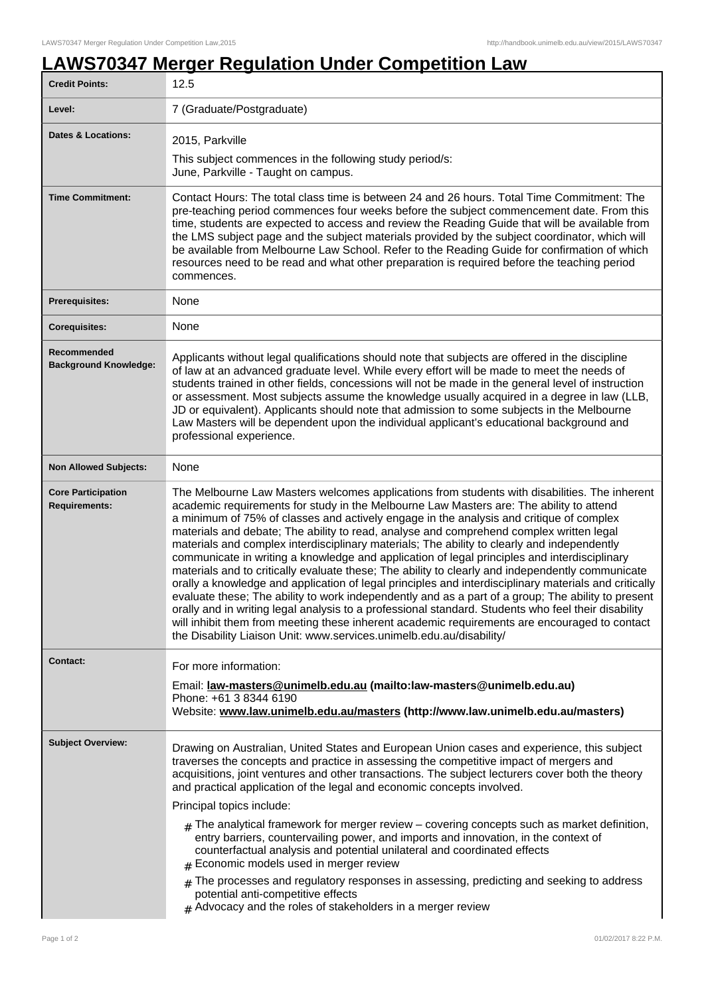## **LAWS70347 Merger Regulation Under Competition Law**

| <b>Credit Points:</b>                             | 12.5                                                                                                                                                                                                                                                                                                                                                                                                                                                                                                                                                                                                                                                                                                                                                                                                                                                                                                                                                                                                                                                                                                                                                                             |
|---------------------------------------------------|----------------------------------------------------------------------------------------------------------------------------------------------------------------------------------------------------------------------------------------------------------------------------------------------------------------------------------------------------------------------------------------------------------------------------------------------------------------------------------------------------------------------------------------------------------------------------------------------------------------------------------------------------------------------------------------------------------------------------------------------------------------------------------------------------------------------------------------------------------------------------------------------------------------------------------------------------------------------------------------------------------------------------------------------------------------------------------------------------------------------------------------------------------------------------------|
| Level:                                            | 7 (Graduate/Postgraduate)                                                                                                                                                                                                                                                                                                                                                                                                                                                                                                                                                                                                                                                                                                                                                                                                                                                                                                                                                                                                                                                                                                                                                        |
| <b>Dates &amp; Locations:</b>                     | 2015, Parkville                                                                                                                                                                                                                                                                                                                                                                                                                                                                                                                                                                                                                                                                                                                                                                                                                                                                                                                                                                                                                                                                                                                                                                  |
|                                                   | This subject commences in the following study period/s:<br>June, Parkville - Taught on campus.                                                                                                                                                                                                                                                                                                                                                                                                                                                                                                                                                                                                                                                                                                                                                                                                                                                                                                                                                                                                                                                                                   |
| <b>Time Commitment:</b>                           | Contact Hours: The total class time is between 24 and 26 hours. Total Time Commitment: The<br>pre-teaching period commences four weeks before the subject commencement date. From this<br>time, students are expected to access and review the Reading Guide that will be available from<br>the LMS subject page and the subject materials provided by the subject coordinator, which will<br>be available from Melbourne Law School. Refer to the Reading Guide for confirmation of which<br>resources need to be read and what other preparation is required before the teaching period<br>commences.                                                                                                                                                                                                                                                                                                                                                                                                                                                                                                                                                                          |
| <b>Prerequisites:</b>                             | None                                                                                                                                                                                                                                                                                                                                                                                                                                                                                                                                                                                                                                                                                                                                                                                                                                                                                                                                                                                                                                                                                                                                                                             |
| <b>Corequisites:</b>                              | None                                                                                                                                                                                                                                                                                                                                                                                                                                                                                                                                                                                                                                                                                                                                                                                                                                                                                                                                                                                                                                                                                                                                                                             |
| Recommended<br><b>Background Knowledge:</b>       | Applicants without legal qualifications should note that subjects are offered in the discipline<br>of law at an advanced graduate level. While every effort will be made to meet the needs of<br>students trained in other fields, concessions will not be made in the general level of instruction<br>or assessment. Most subjects assume the knowledge usually acquired in a degree in law (LLB,<br>JD or equivalent). Applicants should note that admission to some subjects in the Melbourne<br>Law Masters will be dependent upon the individual applicant's educational background and<br>professional experience.                                                                                                                                                                                                                                                                                                                                                                                                                                                                                                                                                         |
| <b>Non Allowed Subjects:</b>                      | None                                                                                                                                                                                                                                                                                                                                                                                                                                                                                                                                                                                                                                                                                                                                                                                                                                                                                                                                                                                                                                                                                                                                                                             |
| <b>Core Participation</b><br><b>Requirements:</b> | The Melbourne Law Masters welcomes applications from students with disabilities. The inherent<br>academic requirements for study in the Melbourne Law Masters are: The ability to attend<br>a minimum of 75% of classes and actively engage in the analysis and critique of complex<br>materials and debate; The ability to read, analyse and comprehend complex written legal<br>materials and complex interdisciplinary materials; The ability to clearly and independently<br>communicate in writing a knowledge and application of legal principles and interdisciplinary<br>materials and to critically evaluate these; The ability to clearly and independently communicate<br>orally a knowledge and application of legal principles and interdisciplinary materials and critically<br>evaluate these; The ability to work independently and as a part of a group; The ability to present<br>orally and in writing legal analysis to a professional standard. Students who feel their disability<br>will inhibit them from meeting these inherent academic requirements are encouraged to contact<br>the Disability Liaison Unit: www.services.unimelb.edu.au/disability/ |
| <b>Contact:</b>                                   | For more information:                                                                                                                                                                                                                                                                                                                                                                                                                                                                                                                                                                                                                                                                                                                                                                                                                                                                                                                                                                                                                                                                                                                                                            |
|                                                   | Email: law-masters@unimelb.edu.au (mailto:law-masters@unimelb.edu.au)<br>Phone: +61 3 8344 6190<br>Website: www.law.unimelb.edu.au/masters (http://www.law.unimelb.edu.au/masters)                                                                                                                                                                                                                                                                                                                                                                                                                                                                                                                                                                                                                                                                                                                                                                                                                                                                                                                                                                                               |
| <b>Subject Overview:</b>                          | Drawing on Australian, United States and European Union cases and experience, this subject<br>traverses the concepts and practice in assessing the competitive impact of mergers and<br>acquisitions, joint ventures and other transactions. The subject lecturers cover both the theory<br>and practical application of the legal and economic concepts involved.<br>Principal topics include:<br>$_{\rm H}$ The analytical framework for merger review – covering concepts such as market definition,<br>entry barriers, countervailing power, and imports and innovation, in the context of<br>counterfactual analysis and potential unilateral and coordinated effects<br>Economic models used in merger review<br>The processes and regulatory responses in assessing, predicting and seeking to address<br>potential anti-competitive effects<br>$#$ Advocacy and the roles of stakeholders in a merger review                                                                                                                                                                                                                                                             |